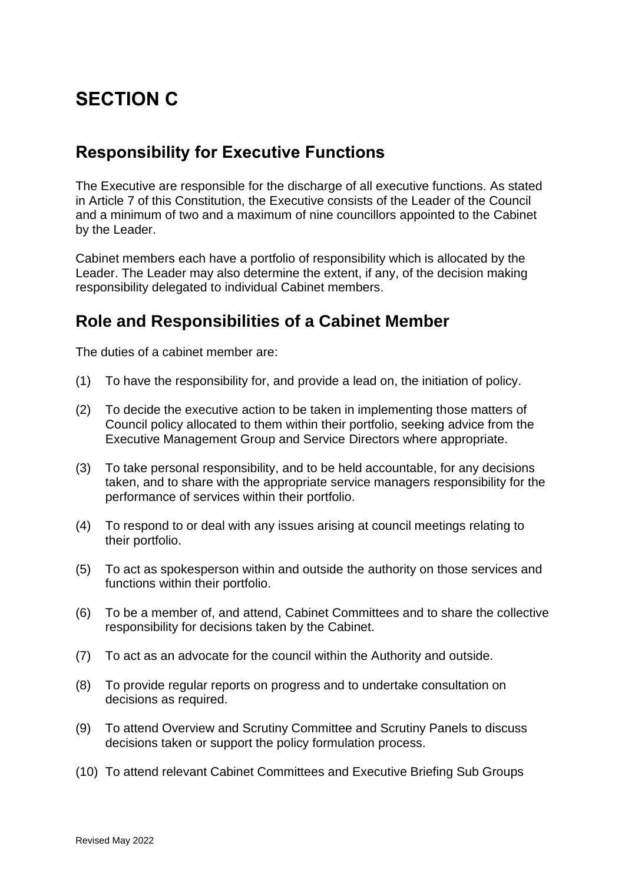# **SECTION C**

## **Responsibility for Executive Functions**

The Executive are responsible for the discharge of all executive functions. As stated in Article 7 of this Constitution, the Executive consists of the Leader of the Council and a minimum of two and a maximum of nine councillors appointed to the Cabinet by the Leader.

Cabinet members each have a portfolio of responsibility which is allocated by the Leader. The Leader may also determine the extent, if any, of the decision making responsibility delegated to individual Cabinet members.

# **Role and Responsibilities of a Cabinet Member**

The duties of a cabinet member are:

- (1) To have the responsibility for, and provide a lead on, the initiation of policy.
- (2) To decide the executive action to be taken in implementing those matters of Council policy allocated to them within their portfolio, seeking advice from the Executive Management Group and Service Directors where appropriate.
- (3) To take personal responsibility, and to be held accountable, for any decisions taken, and to share with the appropriate service managers responsibility for the performance of services within their portfolio.
- (4) To respond to or deal with any issues arising at council meetings relating to their portfolio.
- (5) To act as spokesperson within and outside the authority on those services and functions within their portfolio.
- (6) To be a member of, and attend, Cabinet Committees and to share the collective responsibility for decisions taken by the Cabinet.
- (7) To act as an advocate for the council within the Authority and outside.
- (8) To provide regular reports on progress and to undertake consultation on decisions as required.
- (9) To attend Overview and Scrutiny Committee and Scrutiny Panels to discuss decisions taken or support the policy formulation process.
- (10) To attend relevant Cabinet Committees and Executive Briefing Sub Groups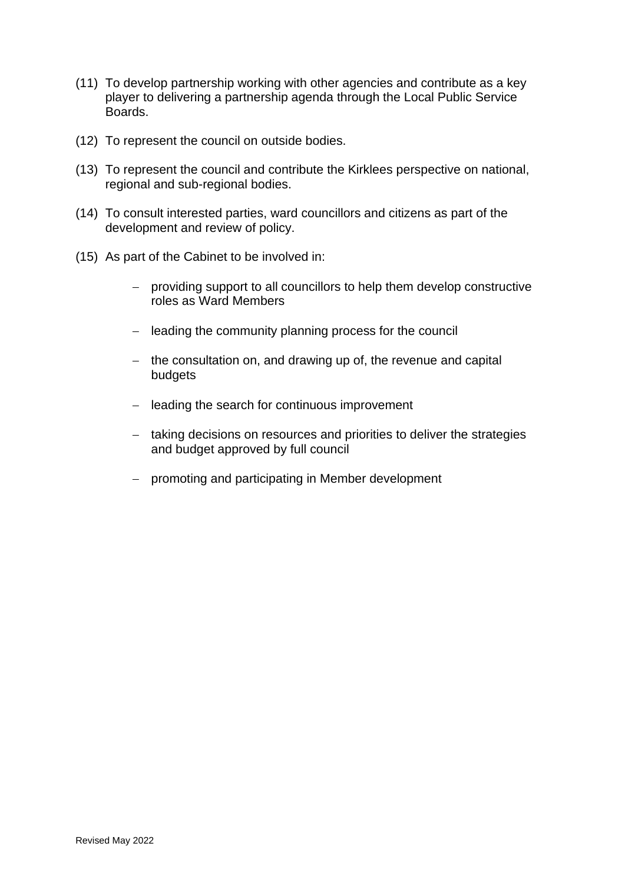- (11) To develop partnership working with other agencies and contribute as a key player to delivering a partnership agenda through the Local Public Service Boards.
- (12) To represent the council on outside bodies.
- (13) To represent the council and contribute the Kirklees perspective on national, regional and sub-regional bodies.
- (14) To consult interested parties, ward councillors and citizens as part of the development and review of policy.
- (15) As part of the Cabinet to be involved in:
	- − providing support to all councillors to help them develop constructive roles as Ward Members
	- − leading the community planning process for the council
	- − the consultation on, and drawing up of, the revenue and capital budgets
	- − leading the search for continuous improvement
	- − taking decisions on resources and priorities to deliver the strategies and budget approved by full council
	- − promoting and participating in Member development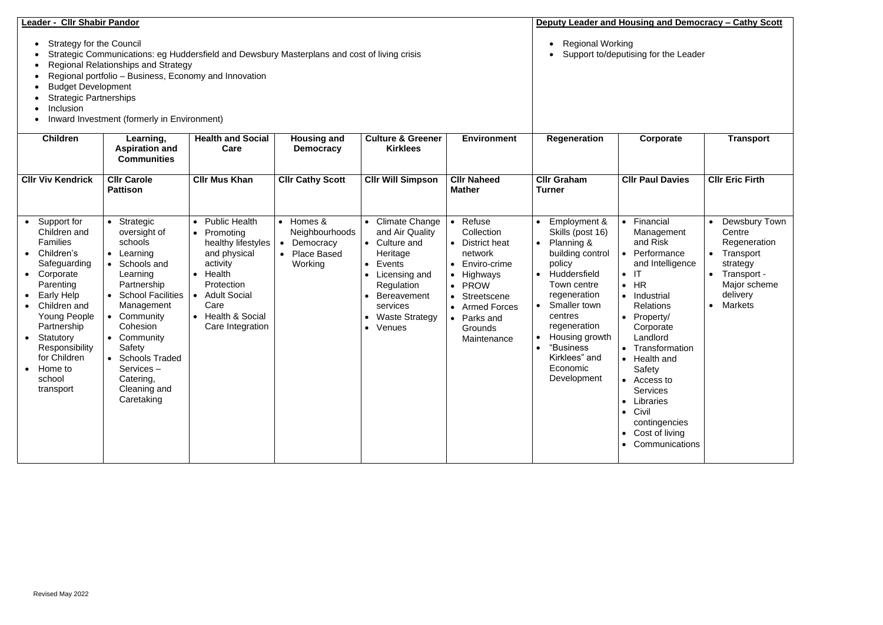| Leader - Cllr Shabir Pandor<br><b>Strategy for the Council</b><br>Strategic Communications: eg Huddersfield and Dewsbury Masterplans and cost of living crisis<br><b>Regional Relationships and Strategy</b><br>Regional portfolio - Business, Economy and Innovation<br><b>Budget Development</b><br><b>Strategic Partnerships</b><br>Inclusion<br>Inward Investment (formerly in Environment) |                                                                                                                                                                                                                                                                       |                                                                                                                                                                                                 |                                                                                                     |                                                                                                                                                                                                  |                                                                                                                                                                     | Deputy Leader and Housing and Democracy – Cathy Scott<br><b>Regional Working</b><br>$\bullet$<br>Support to/deputising for the Leader                                                                                                                                                                 |                                                                                                                                                                                                                                                                                                                                                                                                                    |                                                                                                                                 |
|-------------------------------------------------------------------------------------------------------------------------------------------------------------------------------------------------------------------------------------------------------------------------------------------------------------------------------------------------------------------------------------------------|-----------------------------------------------------------------------------------------------------------------------------------------------------------------------------------------------------------------------------------------------------------------------|-------------------------------------------------------------------------------------------------------------------------------------------------------------------------------------------------|-----------------------------------------------------------------------------------------------------|--------------------------------------------------------------------------------------------------------------------------------------------------------------------------------------------------|---------------------------------------------------------------------------------------------------------------------------------------------------------------------|-------------------------------------------------------------------------------------------------------------------------------------------------------------------------------------------------------------------------------------------------------------------------------------------------------|--------------------------------------------------------------------------------------------------------------------------------------------------------------------------------------------------------------------------------------------------------------------------------------------------------------------------------------------------------------------------------------------------------------------|---------------------------------------------------------------------------------------------------------------------------------|
| <b>Children</b>                                                                                                                                                                                                                                                                                                                                                                                 | Learning,<br><b>Aspiration and</b><br><b>Communities</b>                                                                                                                                                                                                              | <b>Health and Social</b><br>Care                                                                                                                                                                | <b>Housing and</b><br><b>Democracy</b>                                                              | <b>Culture &amp; Greener</b><br><b>Kirklees</b>                                                                                                                                                  | <b>Environment</b>                                                                                                                                                  | <b>Regeneration</b>                                                                                                                                                                                                                                                                                   | Corporate                                                                                                                                                                                                                                                                                                                                                                                                          | <b>Transport</b>                                                                                                                |
| <b>CIIr Viv Kendrick</b>                                                                                                                                                                                                                                                                                                                                                                        | <b>Cllr Carole</b><br><b>Pattison</b>                                                                                                                                                                                                                                 | <b>Cllr Mus Khan</b>                                                                                                                                                                            | <b>CIIr Cathy Scott</b>                                                                             | <b>CIIr Will Simpson</b>                                                                                                                                                                         | <b>CIIr Naheed</b><br><b>Mather</b>                                                                                                                                 | <b>CIIr Graham</b><br><b>Turner</b>                                                                                                                                                                                                                                                                   | <b>Cllr Paul Davies</b>                                                                                                                                                                                                                                                                                                                                                                                            | <b>CIIr Eric Firth</b>                                                                                                          |
| Support for<br>Children and<br>Families<br>Children's<br>Safeguarding<br>Corporate<br>$\bullet$<br>Parenting<br><b>Early Help</b><br>Children and<br><b>Young People</b><br>Partnership<br>Statutory<br>Responsibility<br>for Children<br>Home to<br>school<br>transport                                                                                                                        | • Strategic<br>oversight of<br>schools<br>• Learning<br>• Schools and<br>Learning<br>Partnership<br>• School Facilities<br>Management<br>• Community<br>Cohesion<br>• Community<br>Safety<br>• Schools Traded<br>Services-<br>Catering,<br>Cleaning and<br>Caretaking | • Public Health<br>• Promoting<br>healthy lifestyles<br>and physical<br>activity<br>• Health<br>Protection<br><b>Adult Social</b><br>$\bullet$<br>Care<br>• Health & Social<br>Care Integration | • Homes &<br>Neighbourhoods<br>Democracy<br>$\bullet$<br><b>Place Based</b><br>$\bullet$<br>Working | <b>Climate Change</b><br>and Air Quality<br>• Culture and<br>Heritage<br>Events<br>Licensing and<br>Regulation<br><b>Bereavement</b><br>services<br><b>Waste Strategy</b><br>Venues<br>$\bullet$ | Refuse<br>Collection<br>District heat<br>network<br>Enviro-crime<br>Highways<br><b>PROW</b><br>Streetscene<br>• Armed Forces<br>Parks and<br>Grounds<br>Maintenance | Employment &<br>Skills (post 16)<br>Planning &<br>$\bullet$<br>building control<br>policy<br>Huddersfield<br>$\bullet$<br>Town centre<br>regeneration<br>Smaller town<br>$\bullet$<br>centres<br>regeneration<br>Housing growth<br>$\bullet$<br>"Business<br>Kirklees" and<br>Economic<br>Development | Financial<br>$\bullet$<br>Management<br>and Risk<br>Performance<br>$\bullet$<br>and Intelligence<br>$\bullet$<br>$\bullet$ HR<br>• Industrial<br><b>Relations</b><br>Property/<br>$\bullet$<br>Corporate<br>Landlord<br>Transformation<br>Health and<br>$\bullet$<br>Safety<br>• Access to<br><b>Services</b><br>Libraries<br>Civil<br>$\bullet$<br>contingencies<br>Cost of living<br>Communications<br>$\bullet$ | Dewsbury Town<br>Centre<br>Regeneration<br>Transport<br>strategy<br>• Transport -<br>Major scheme<br>delivery<br><b>Markets</b> |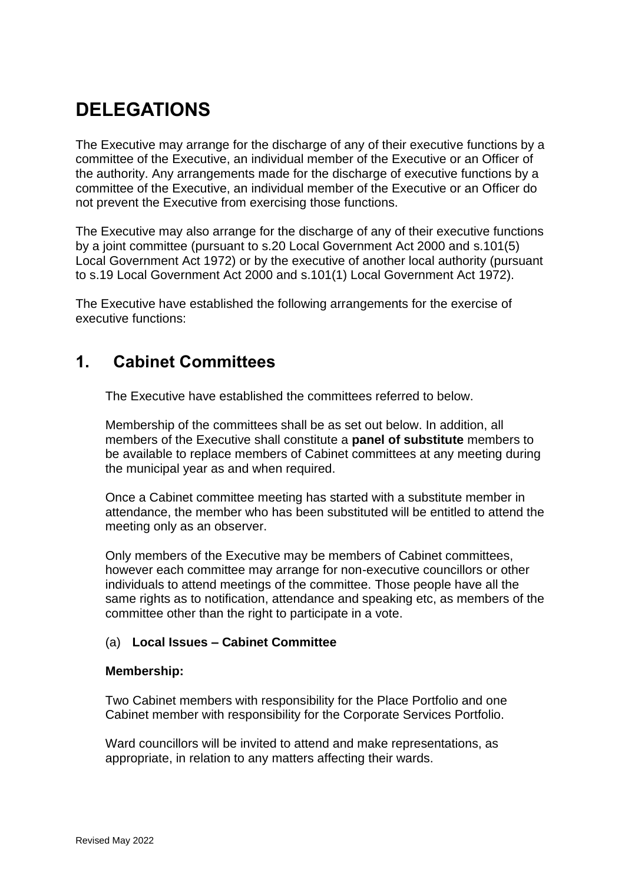# **DELEGATIONS**

The Executive may arrange for the discharge of any of their executive functions by a committee of the Executive, an individual member of the Executive or an Officer of the authority. Any arrangements made for the discharge of executive functions by a committee of the Executive, an individual member of the Executive or an Officer do not prevent the Executive from exercising those functions.

The Executive may also arrange for the discharge of any of their executive functions by a joint committee (pursuant to s.20 Local Government Act 2000 and s.101(5) Local Government Act 1972) or by the executive of another local authority (pursuant to s.19 Local Government Act 2000 and s.101(1) Local Government Act 1972).

The Executive have established the following arrangements for the exercise of executive functions:

### **1. Cabinet Committees**

The Executive have established the committees referred to below.

Membership of the committees shall be as set out below. In addition, all members of the Executive shall constitute a **panel of substitute** members to be available to replace members of Cabinet committees at any meeting during the municipal year as and when required.

Once a Cabinet committee meeting has started with a substitute member in attendance, the member who has been substituted will be entitled to attend the meeting only as an observer.

Only members of the Executive may be members of Cabinet committees, however each committee may arrange for non-executive councillors or other individuals to attend meetings of the committee. Those people have all the same rights as to notification, attendance and speaking etc, as members of the committee other than the right to participate in a vote.

#### (a) **Local Issues – Cabinet Committee**

#### **Membership:**

Two Cabinet members with responsibility for the Place Portfolio and one Cabinet member with responsibility for the Corporate Services Portfolio.

Ward councillors will be invited to attend and make representations, as appropriate, in relation to any matters affecting their wards.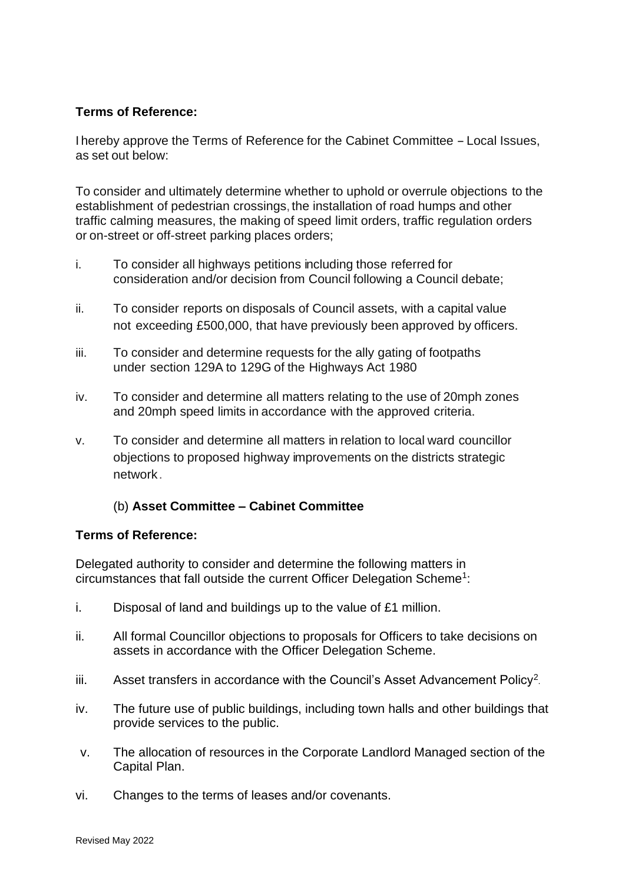#### **Terms of Reference:**

<sup>I</sup> hereby approve the Terms of Reference for the Cabinet Committee -Local Issues, as set out below:

To consider and ultimately determine whether to uphold or overrule objections to the establishment of pedestrian crossings, the installation of road humps and other traffic calming measures, the making of speed limit orders, traffic regulation orders or on-street or off-street parking places orders;

- i. To consider all highways petitions including those referred for consideration and/or decision from Council following a Council debate;
- ii. To consider reports on disposals of Council assets, with a capital value not exceeding £500,000, that have previously been approved by officers.
- iii. To consider and determine requests for the ally gating of footpaths under section 129A to 129G of the Highways Act 1980
- iv. To consider and determine all matters relating to the use of 20mph zones and 20mph speed limits in accordance with the approved criteria.
- v. To consider and determine all matters in relation to local ward councillor objections to proposed highway improvements on the districts strategic network.

#### (b) **Asset Committee – Cabinet Committee**

#### **Terms of Reference:**

Delegated authority to consider and determine the following matters in circumstances that fall outside the current Officer Delegation Scheme<sup>1</sup>:

- i. Disposal of land and buildings up to the value of £1 million.
- ii. All formal Councillor objections to proposals for Officers to take decisions on assets in accordance with the Officer Delegation Scheme.
- iii. Asset transfers in accordance with the Council's Asset Advancement Policy<sup>2</sup>.
- iv. The future use of public buildings, including town halls and other buildings that provide services to the public.
- v. The allocation of resources in the Corporate Landlord Managed section of the Capital Plan.
- vi. Changes to the terms of leases and/or covenants.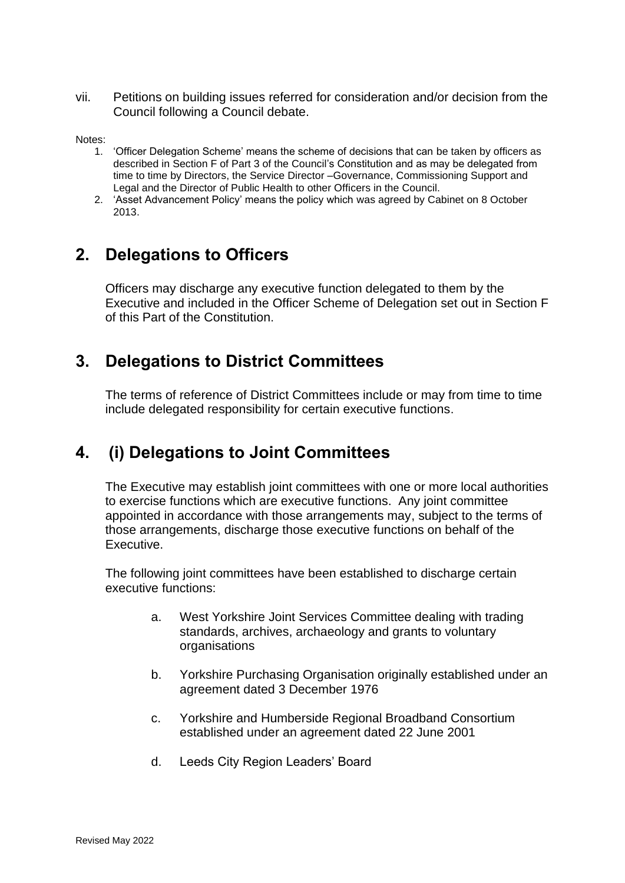vii. Petitions on building issues referred for consideration and/or decision from the Council following a Council debate.

Notes:

- 1. 'Officer Delegation Scheme' means the scheme of decisions that can be taken by officers as described in Section F of Part 3 of the Council's Constitution and as may be delegated from time to time by Directors, the Service Director –Governance, Commissioning Support and Legal and the Director of Public Health to other Officers in the Council.
- 2. 'Asset Advancement Policy' means the policy which was agreed by Cabinet on 8 October 2013.

### **2. Delegations to Officers**

Officers may discharge any executive function delegated to them by the Executive and included in the Officer Scheme of Delegation set out in Section F of this Part of the Constitution.

# **3. Delegations to District Committees**

The terms of reference of District Committees include or may from time to time include delegated responsibility for certain executive functions.

# **4. (i) Delegations to Joint Committees**

The Executive may establish joint committees with one or more local authorities to exercise functions which are executive functions. Any joint committee appointed in accordance with those arrangements may, subject to the terms of those arrangements, discharge those executive functions on behalf of the Executive.

The following joint committees have been established to discharge certain executive functions:

- a. West Yorkshire Joint Services Committee dealing with trading standards, archives, archaeology and grants to voluntary organisations
- b. Yorkshire Purchasing Organisation originally established under an agreement dated 3 December 1976
- c. Yorkshire and Humberside Regional Broadband Consortium established under an agreement dated 22 June 2001
- d. Leeds City Region Leaders' Board